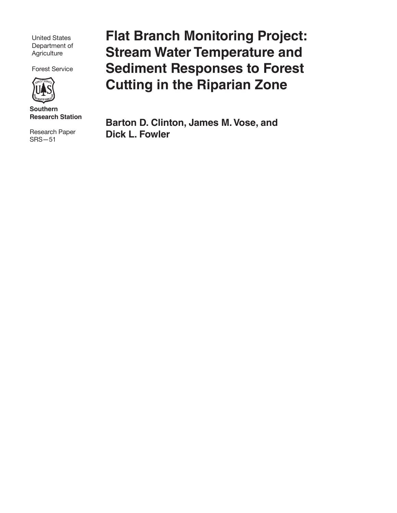United States Department of **Agriculture** 

Forest Service



**Southern Research Station**

Research Paper SRS—51

**Flat Branch Monitoring Project: Stream Water Temperature and Sediment Responses to Forest Cutting in the Riparian Zone** 

**Barton D. Clinton, James M. Vose, and Dick L. Fowler**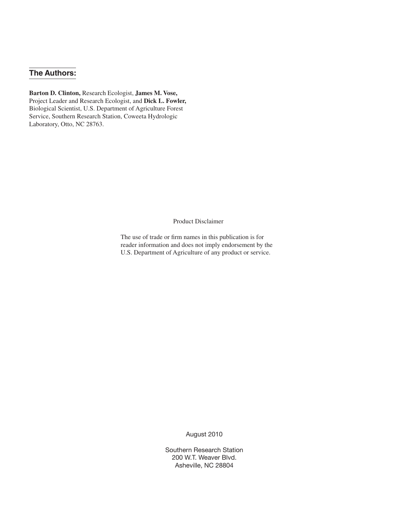# **The Authors:**

**Barton D. Clinton,** Research Ecologist, **James M. Vose,** Project Leader and Research Ecologist, and **Dick L. Fowler,** Biological Scientist, U.S. Department of Agriculture Forest Service, Southern Research Station, Coweeta Hydrologic Laboratory, Otto, NC 28763.

Product Disclaimer

The use of trade or firm names in this publication is for reader information and does not imply endorsement by the U.S. Department of Agriculture of any product or service.

August 2010

Southern Research Station 200 W.T. Weaver Blvd. Asheville, NC 28804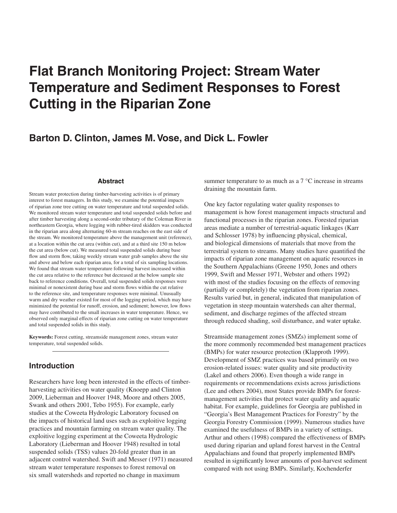# **Flat Branch Monitoring Project: Stream Water Temperature and Sediment Responses to Forest Cutting in the Riparian Zone**

# **Barton D. Clinton, James M. Vose, and Dick L. Fowler**

#### **Abstract**

Stream water protection during timber-harvesting activities is of primary interest to forest managers. In this study, we examine the potential impacts of riparian zone tree cutting on water temperature and total suspended solids. We monitored stream water temperature and total suspended solids before and after timber harvesting along a second-order tributary of the Coleman River in northeastern Georgia, where logging with rubber-tired skidders was conducted in the riparian area along alternating 60-m stream reaches on the east side of the stream. We monitored temperature above the management unit (reference), at a location within the cut area (within cut), and at a third site 150 m below the cut area (below cut). We measured total suspended solids during base flow and storm flow, taking weekly stream water grab samples above the site and above and below each riparian area, for a total of six sampling locations. We found that stream water temperature following harvest increased within the cut area relative to the reference but decreased at the below sample site back to reference conditions. Overall, total suspended solids responses were minimal or nonexistent during base and storm flows within the cut relative to the reference site, and temperature responses were minimal. Unusually warm and dry weather existed for most of the logging period, which may have minimized the potential for runoff, erosion, and sediment; however, low flows may have contributed to the small increases in water temperature. Hence, we observed only marginal effects of riparian zone cutting on water temperature and total suspended solids in this study.

**Keywords:** Forest cutting, streamside management zones, stream water temperature, total suspended solids.

## **Introduction**

Researchers have long been interested in the effects of timberharvesting activities on water quality (Knoepp and Clinton 2009, Lieberman and Hoover 1948, Moore and others 2005, Swank and others 2001, Tebo 1955). For example, early studies at the Coweeta Hydrologic Laboratory focused on the impacts of historical land uses such as exploitive logging practices and mountain farming on stream water quality. The exploitive logging experiment at the Coweeta Hydrologic Laboratory (Lieberman and Hoover 1948) resulted in total suspended solids (TSS) values 20-fold greater than in an adjacent control watershed. Swift and Messer (1971) measured stream water temperature responses to forest removal on six small watersheds and reported no change in maximum

summer temperature to as much as a 7 °C increase in streams draining the mountain farm.

One key factor regulating water quality responses to management is how forest management impacts structural and functional processes in the riparian zones. Forested riparian areas mediate a number of terrestrial-aquatic linkages (Karr and Schlosser 1978) by influencing physical, chemical, and biological dimensions of materials that move from the terrestrial system to streams. Many studies have quantified the impacts of riparian zone management on aquatic resources in the Southern Appalachians (Greene 1950, Jones and others 1999, Swift and Messer 1971, Webster and others 1992) with most of the studies focusing on the effects of removing (partially or completely) the vegetation from riparian zones. Results varied but, in general, indicated that manipulation of vegetation in steep mountain watersheds can alter thermal, sediment, and discharge regimes of the affected stream through reduced shading, soil disturbance, and water uptake.

Streamside management zones (SMZs) implement some of the more commonly recommended best management practices (BMPs) for water resource protection (Klapproth 1999). Development of SMZ practices was based primarily on two erosion-related issues: water quality and site productivity (Lakel and others 2006). Even though a wide range in requirements or recommendations exists across jurisdictions (Lee and others 2004), most States provide BMPs for forestmanagement activities that protect water quality and aquatic habitat. For example, guidelines for Georgia are published in "Georgia's Best Management Practices for Forestry" by the Georgia Forestry Commission (1999). Numerous studies have examined the usefulness of BMPs in a variety of settings. Arthur and others (1998) compared the effectiveness of BMPs used during riparian and upland forest harvest in the Central Appalachians and found that properly implemented BMPs resulted in significantly lower amounts of post-harvest sediment compared with not using BMPs. Similarly, Kochenderfer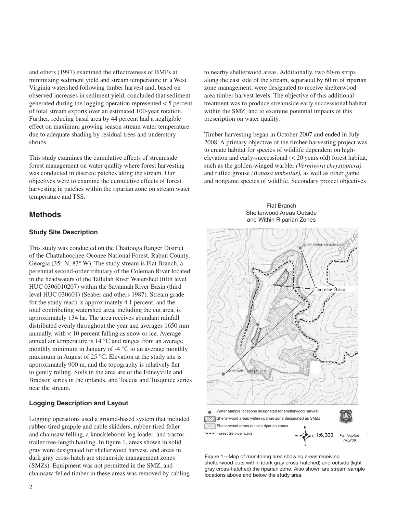and others (1997) examined the effectiveness of BMPs at minimizing sediment yield and stream temperature in a West Virginia watershed following timber harvest and, based on observed increases in sediment yield, concluded that sediment generated during the logging operation represented < 5 percent of total stream exports over an estimated 100-year rotation. Further, reducing basal area by 44 percent had a negligible effect on maximum growing season stream water temperature due to adequate shading by residual trees and understory shrubs.

This study examines the cumulative effects of streamside forest management on water quality where forest harvesting was conducted in discrete patches along the stream. Our objectives were to examine the cumulative effects of forest harvesting in patches within the riparian zone on stream water temperature and TSS.

# **Methods**

## **Study Site Description**

This study was conducted on the Chattooga Ranger District of the Chattahoochee-Oconee National Forest, Rabun County, Georgia (35° N, 83° W). The study stream is Flat Branch, a perennial second-order tributary of the Coleman River located in the headwaters of the Tallulah River Watershed (fifth level HUC 0306010207) within the Savannah River Basin (third level HUC 030601) (Seaber and others 1987). Stream grade for the study reach is approximately 4.1 percent, and the total contributing watershed area, including the cut area, is approximately 134 ha. The area receives abundant rainfall distributed evenly throughout the year and averages 1650 mm annually, with < 10 percent falling as snow or ice. Average annual air temperature is 14 °C and ranges from an average monthly minimum in January of -4 °C to an average monthly maximum in August of 25 °C. Elevation at the study site is approximately 900 m, and the topography is relatively flat to gently rolling. Soils in the area are of the Edneyville and Bradson series in the uplands, and Toccoa and Tusquitee series near the stream.

# **Logging Description and Layout**

Logging operations used a ground-based system that included rubber-tired grapple and cable skidders, rubber-tired feller and chainsaw felling, a knuckleboom log loader, and tractor trailer tree-length hauling. In figure 1, areas shown in solid gray were designated for shelterwood harvest, and areas in dark gray cross-hatch are streamside management zones (SMZs). Equipment was not permitted in the SMZ, and chainsaw-felled timber in these areas was removed by cabling to nearby shelterwood areas. Additionally, two 60-m strips along the east side of the stream, separated by 60 m of riparian zone management, were designated to receive shelterwood area timber harvest levels. The objective of this additional treatment was to produce streamside early successional habitat within the SMZ, and to examine potential impacts of this prescription on water quality.

Timber harvesting began in October 2007 and ended in July 2008. A primary objective of the timber-harvesting project was to create habitat for species of wildlife dependent on highelevation and early-successional (< 20 years old) forest habitat, such as the golden-winged warbler *(Vermivora chrystoptera)* and ruffed grouse *(Bonasa umbellus),* as well as other game and nongame species of wildlife. Secondary project objectives

#### Flat Branch Shelterwood Areas Outside and Within Riparian Zones



Figure 1—Map of monitoring area showing areas receiving shelterwood cuts within (dark gray cross-hatched) and outside (light gray cross-hatched) the riparian zone. Also shown are stream sample locations above and below the study area.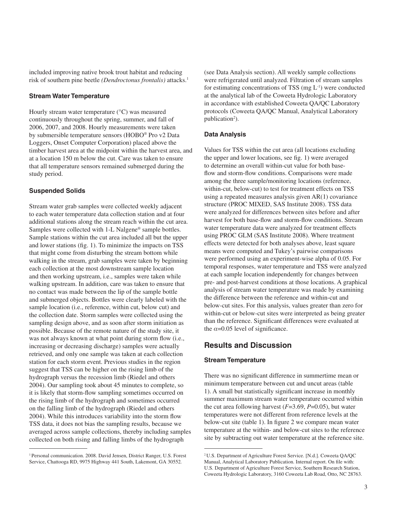included improving native brook trout habitat and reducing risk of southern pine beetle *(Dendroctonus frontalis)* attacks.1

#### **Stream Water Temperature**

Hourly stream water temperature (°C) was measured continuously throughout the spring, summer, and fall of 2006, 2007, and 2008. Hourly measurements were taken by submersible temperature sensors (HOBO® Pro v2 Data Loggers, Onset Computer Corporation) placed above the timber harvest area at the midpoint within the harvest area, and at a location 150 m below the cut. Care was taken to ensure that all temperature sensors remained submerged during the study period.

#### **Suspended Solids**

Stream water grab samples were collected weekly adjacent to each water temperature data collection station and at four additional stations along the stream reach within the cut area. Samples were collected with 1-L Nalgene® sample bottles. Sample stations within the cut area included all but the upper and lower stations (fig. 1). To minimize the impacts on TSS that might come from disturbing the stream bottom while walking in the stream, grab samples were taken by beginning each collection at the most downstream sample location and then working upstream, i.e., samples were taken while walking upstream. In addition, care was taken to ensure that no contact was made between the lip of the sample bottle and submerged objects. Bottles were clearly labeled with the sample location (i.e., reference, within cut, below cut) and the collection date. Storm samples were collected using the sampling design above, and as soon after storm initiation as possible. Because of the remote nature of the study site, it was not always known at what point during storm flow (i.e., increasing or decreasing discharge) samples were actually retrieved, and only one sample was taken at each collection station for each storm event. Previous studies in the region suggest that TSS can be higher on the rising limb of the hydrograph versus the recession limb (Riedel and others 2004). Our sampling took about 45 minutes to complete, so it is likely that storm-flow sampling sometimes occurred on the rising limb of the hydrograph and sometimes occurred on the falling limb of the hydrograph (Riedel and others 2004). While this introduces variability into the storm flow TSS data, it does not bias the sampling results, because we averaged across sample collections, thereby including samples collected on both rising and falling limbs of the hydrograph

1 Personal communication. 2008. David Jensen, District Ranger, U.S. Forest Service, Chattooga RD, 9975 Highway 441 South, Lakemont, GA 30552*.*

(see Data Analysis section). All weekly sample collections were refrigerated until analyzed. Filtration of stream samples for estimating concentrations of TSS (mg  $L^{-1}$ ) were conducted at the analytical lab of the Coweeta Hydrologic Laboratory in accordance with established Coweeta QA/QC Laboratory protocols (Coweeta QA/QC Manual, Analytical Laboratory publication<sup>2</sup>).

#### **Data Analysis**

Values for TSS within the cut area (all locations excluding the upper and lower locations, see fig. 1) were averaged to determine an overall within-cut value for both baseflow and storm-flow conditions. Comparisons were made among the three sample/monitoring locations (reference, within-cut, below-cut) to test for treatment effects on TSS using a repeated measures analysis given AR(1) covariance structure (PROC MIXED, SAS Institute 2008). TSS data were analyzed for differences between sites before and after harvest for both base-flow and storm-flow conditions. Stream water temperature data were analyzed for treatment effects using PROC GLM (SAS Institute 2008). Where treatment effects were detected for both analyses above, least square means were computed and Tukey's pairwise comparisons were performed using an experiment-wise alpha of 0.05. For temporal responses, water temperature and TSS were analyzed at each sample location independently for changes between pre- and post-harvest conditions at those locations. A graphical analysis of stream water temperature was made by examining the difference between the reference and within-cut and below-cut sites. For this analysis, values greater than zero for within-cut or below-cut sites were interpreted as being greater than the reference. Significant differences were evaluated at the  $\alpha$ =0.05 level of significance.

## **Results and Discussion**

#### **Stream Temperature**

There was no significant difference in summertime mean or minimum temperature between cut and uncut areas (table 1). A small but statistically significant increase in monthly summer maximum stream water temperature occurred within the cut area following harvest (*F*=3.69, *P*=0.05), but water temperatures were not different from reference levels at the below-cut site (table 1). In figure 2 we compare mean water temperature at the within- and below-cut sites to the reference site by subtracting out water temperature at the reference site.

<sup>2</sup> U.S. Department of Agriculture Forest Service. [N.d.]. Coweeta QA/QC Manual, Analytical Laboratory Publication. Internal report. On file with: U.S. Department of Agriculture Forest Service, Southern Research Station, Coweeta Hydrologic Laboratory, 3160 Coweeta Lab Road, Otto, NC 28763.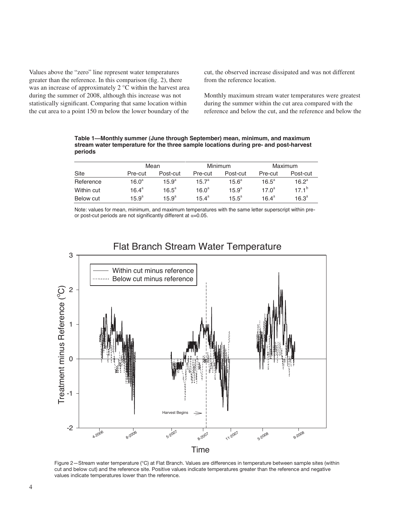Values above the "zero" line represent water temperatures greater than the reference. In this comparison (fig. 2), there was an increase of approximately 2 °C within the harvest area during the summer of 2008, although this increase was not statistically significant. Comparing that same location within the cut area to a point 150 m below the lower boundary of the

cut, the observed increase dissipated and was not different from the reference location.

Monthly maximum stream water temperatures were greatest during the summer within the cut area compared with the reference and below the cut, and the reference and below the

**Table 1—Monthly summer (June through September) mean, minimum, and maximum stream water temperature for the three sample locations during pre- and post-harvest periods** 

|            | Mean               |                | Minimum           |                | Maximum           |                |
|------------|--------------------|----------------|-------------------|----------------|-------------------|----------------|
| Site       | Pre-cut            | Post-cut       | Pre-cut           | Post-cut       | Pre-cut           | Post-cut       |
| Reference  | 16.0 <sup>a</sup>  | $15.9^{a}$     | $15.7^a$          | $15.6^a$       | $16.5^{\circ}$    | $16.2^a$       |
| Within cut | 16.4 $\mathrm{^a}$ | $16.5^{\circ}$ | 16.0 <sup>a</sup> | $15.9^{a}$     | 17.0 $a$          | $171^{b}$      |
| Below cut  | $15.9^{\rm a}$     | $15.9^{\circ}$ | $15.4^{\circ}$    | $15.5^{\circ}$ | $16.4^{\text{a}}$ | $16.3^{\circ}$ |

Note: values for mean, minimum, and maximum temperatures with the same letter superscript within preor post-cut periods are not significantly different at  $\alpha$ =0.05.



# Flat Branch Stream Water Temperature

Figure 2—Stream water temperature (°C) at Flat Branch. Values are differences in temperature between sample sites (within cut and below cut) and the reference site. Positive values indicate temperatures greater than the reference and negative values indicate temperatures lower than the reference.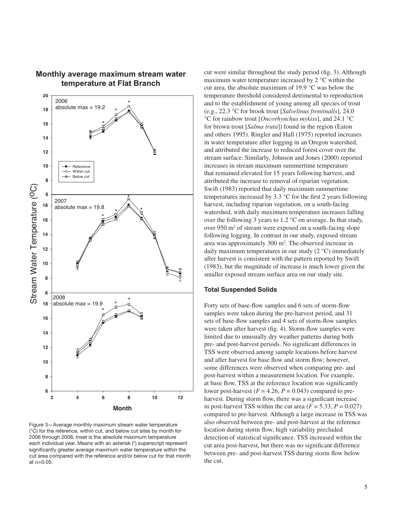

# **Monthly average maximum stream water** and the maximum stream **water** and the maximum stream maximum stream maximum stream maximum stream maximum stream maximum stream maximum stream maximum stream maximum stream maximum s **temperature at Flat Branch**

Figure 3—Average monthly maximum stream water temperature (°C) for the reference, within cut, and below cut sites by month for 2006 through 2008. Inset is the absolute maximum temperature each individual year. Means with an asterisk (\*) superscript represent significantly greater average maximum water temperature within the cut area compared with the reference and/or below cut for that month at  $\alpha$ =0.05.

cut were similar throughout the study period (fig. 3). Although maximum water temperature increased by 2 °C within the cut area, the absolute maximum of 19.9 °C was below the temperature threshold considered detrimental to reproduction and to the establishment of young among all species of trout (e.g., 22.3 °C for brook trout [*Salvelinus frontinalis*]*,* 24.0 °C for rainbow trout [*Oncorhynchus mykiss*], and 24.1 °C for brown trout [*Salma truta*]) found in the region (Eaton and others 1995). Ringler and Hall (1975) reported increases in water temperature after logging in an Oregon watershed, and attributed the increase to reduced forest cover over the stream surface. Similarly, Johnson and Jones (2000) reported increases in stream maximum summertime temperature that remained elevated for 15 years following harvest, and attributed the increase to removal of riparian vegetation. Swift (1983) reported that daily maximum summertime temperatures increased by 3.3 °C for the first 2 years following harvest, including riparian vegetation, on a south-facing watershed, with daily maximum temperature increases falling over the following 3 years to 1.2 °C on average. In that study, over 950 m<sup>2</sup> of stream were exposed on a south-facing slope following logging. In contrast in our study, exposed stream area was approximately 300 m<sup>2</sup>. The observed increase in daily maximum temperatures in our study (2 °C) immediately after harvest is consistent with the pattern reported by Swift (1983), but the magnitude of increase is much lower given the smaller exposed stream surface area on our study site.

#### **Total Suspended Solids**

Forty sets of base-flow samples and 6 sets of storm-flow samples were taken during the pre-harvest period, and 31 sets of base-flow samples and 4 sets of storm-flow samples were taken after harvest (fig. 4). Storm-flow samples were limited due to unusually dry weather patterns during both pre- and post-harvest periods. No significant differences in TSS were observed among sample locations before harvest and after harvest for base flow and storm flow; however, some differences were observed when comparing pre- and post-harvest within a measurement location. For example, at base flow, TSS at the reference location was significantly lower post-harvest  $(F = 4.26, P = 0.043)$  compared to preharvest. During storm flow, there was a significant increase in post-harvest TSS within the cut area  $(F = 5.33, P = 0.027)$ compared to pre-harvest. Although a large increase in TSS was also observed between pre- and post-harvest at the reference location during storm flow, high variability precluded detection of statistical significance. TSS increased within the cut area post-harvest, but there was no significant difference between pre- and post-harvest TSS during storm flow below the cut.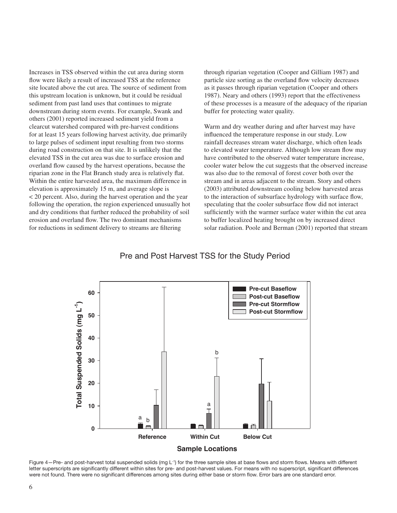Increases in TSS observed within the cut area during storm flow were likely a result of increased TSS at the reference site located above the cut area. The source of sediment from this upstream location is unknown, but it could be residual sediment from past land uses that continues to migrate downstream during storm events. For example, Swank and others (2001) reported increased sediment yield from a clearcut watershed compared with pre-harvest conditions for at least 15 years following harvest activity, due primarily to large pulses of sediment input resulting from two storms during road construction on that site. It is unlikely that the elevated TSS in the cut area was due to surface erosion and overland flow caused by the harvest operations, because the riparian zone in the Flat Branch study area is relatively flat. Within the entire harvested area, the maximum difference in elevation is approximately 15 m, and average slope is < 20 percent. Also, during the harvest operation and the year following the operation, the region experienced unusually hot and dry conditions that further reduced the probability of soil erosion and overland flow. The two dominant mechanisms for reductions in sediment delivery to streams are filtering

through riparian vegetation (Cooper and Gilliam 1987) and particle size sorting as the overland flow velocity decreases as it passes through riparian vegetation (Cooper and others 1987). Neary and others (1993) report that the effectiveness of these processes is a measure of the adequacy of the riparian buffer for protecting water quality.

Warm and dry weather during and after harvest may have influenced the temperature response in our study. Low rainfall decreases stream water discharge, which often leads to elevated water temperature. Although low stream flow may have contributed to the observed water temperature increase, cooler water below the cut suggests that the observed increase was also due to the removal of forest cover both over the stream and in areas adjacent to the stream. Story and others (2003) attributed downstream cooling below harvested areas to the interaction of subsurface hydrology with surface flow, speculating that the cooler subsurface flow did not interact sufficiently with the warmer surface water within the cut area to buffer localized heating brought on by increased direct solar radiation. Poole and Berman (2001) reported that stream

## Pre and Post Harvest TSS for the Study Period



Figure 4—Pre- and post-harvest total suspended solids (mg L<sup>-1</sup>) for the three sample sites at base flows and storm flows. Means with different letter superscripts are significantly different within sites for pre- and post-harvest values. For means with no superscript, significant differences were not found. There were no significant differences among sites during either base or storm flow. Error bars are one standard error.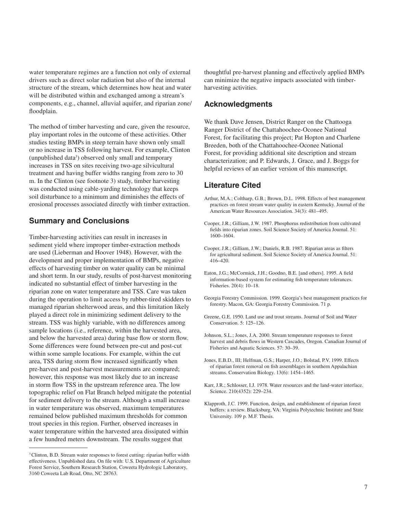water temperature regimes are a function not only of external drivers such as direct solar radiation but also of the internal structure of the stream, which determines how heat and water will be distributed within and exchanged among a stream's components, e.g., channel, alluvial aquifer, and riparian zone/ floodplain.

The method of timber harvesting and care, given the resource, play important roles in the outcome of these activities. Other studies testing BMPs in steep terrain have shown only small or no increase in TSS following harvest. For example, Clinton (unpublished data<sup>3</sup>) observed only small and temporary increases in TSS on sites receiving two-age silvicultural treatment and having buffer widths ranging from zero to 30 m. In the Clinton (see footnote 3) study, timber harvesting was conducted using cable-yarding technology that keeps soil disturbance to a minimum and diminishes the effects of erosional processes associated directly with timber extraction.

# **Summary and Conclusions**

Timber-harvesting activities can result in increases in sediment yield where improper timber-extraction methods are used (Lieberman and Hoover 1948). However, with the development and proper implementation of BMPs, negative effects of harvesting timber on water quality can be minimal and short term. In our study, results of post-harvest monitoring indicated no substantial effect of timber harvesting in the riparian zone on water temperature and TSS. Care was taken during the operation to limit access by rubber-tired skidders to managed riparian shelterwood areas, and this limitation likely played a direct role in minimizing sediment delivery to the stream. TSS was highly variable, with no differences among sample locations (i.e., reference, within the harvested area, and below the harvested area) during base flow or storm flow. Some differences were found between pre-cut and post-cut within some sample locations. For example, within the cut area, TSS during storm flow increased significantly when pre-harvest and post-harvest measurements are compared; however, this response was most likely due to an increase in storm flow TSS in the upstream reference area. The low topographic relief on Flat Branch helped mitigate the potential for sediment delivery to the stream. Although a small increase in water temperature was observed, maximum temperatures remained below published maximum thresholds for common trout species in this region. Further, observed increases in water temperature within the harvested area dissipated within a few hundred meters downstream. The results suggest that

thoughtful pre-harvest planning and effectively applied BMPs can minimize the negative impacts associated with timberharvesting activities.

## **Acknowledgments**

We thank Dave Jensen, District Ranger on the Chattooga Ranger District of the Chattahoochee-Oconee National Forest, for facilitating this project; Pat Hopton and Charlene Breeden, both of the Chattahoochee-Oconee National Forest, for providing additional site description and stream characterization; and P. Edwards, J. Grace, and J. Boggs for helpful reviews of an earlier version of this manuscript.

# **Literature Cited**

- Arthur, M.A.; Coltharp, G.B.; Brown, D.L. 1998. Effects of best management practices on forest stream water quality in eastern Kentucky. Journal of the American Water Resources Association. 34(3): 481–495.
- Cooper, J.R.; Gilliam, J.W. 1987. Phosphorus redistribution from cultivated fields into riparian zones. Soil Science Society of America Journal. 51: 1600–1604.
- Cooper, J.R.; Gilliam, J.W.; Daniels, R.B. 1987. Riparian areas as filters for agricultural sediment. Soil Science Society of America Journal. 51: 416–420.
- Eaton, J.G.; McCormick, J.H.; Goodno, B.E. [and others]. 1995. A field information-based system for estimating fish temperature tolerances. Fisheries. 20(4): 10–18.
- Georgia Forestry Commission. 1999. Georgia's best management practices for forestry. Macon, GA: Georgia Forestry Commission. 71 p.
- Greene, G.E. 1950. Land use and trout streams. Journal of Soil and Water Conservation. 5: 125–126.
- Johnson, S.L.; Jones, J.A. 2000. Stream temperature responses to forest harvest and debris flows in Western Cascades, Oregon. Canadian Journal of Fisheries and Aquatic Sciences. 57: 30–39.
- Jones, E.B.D., III; Helfman, G.S.; Harper, J.O.; Bolstad, P.V. 1999. Effects of riparian forest removal on fish assemblages in southern Appalachian streams. Conservation Biology. 13(6): 1454–1465.
- Karr, J.R.; Schlosser, I.J. 1978. Water resources and the land-water interface. Science. 210(4352): 229–234.
- Klapproth, J.C. 1999. Function, design, and establishment of riparian forest buffers: a review. Blacksburg, VA: Virginia Polytechnic Institute and State University. 109 p. M.F. Thesis.

<sup>&</sup>lt;sup>3</sup> Clinton, B.D. Stream water responses to forest cutting: riparian buffer width effectiveness. Unpublished data. On file with: U.S. Department of Agriculture Forest Service, Southern Research Station, Coweeta Hydrologic Laboratory, 3160 Coweeta Lab Road, Otto, NC 28763.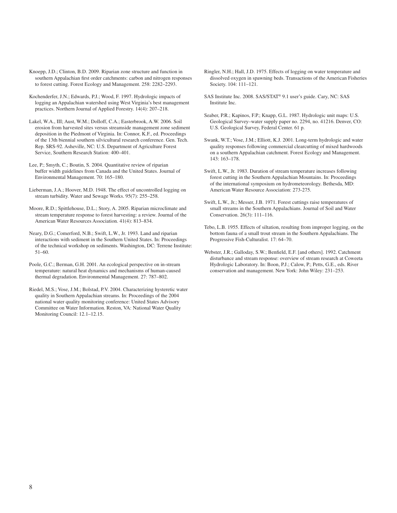Knoepp, J.D.; Clinton, B.D. 2009. Riparian zone structure and function in southern Appalachian first order catchments: carbon and nitrogen responses to forest cutting. Forest Ecology and Management. 258: 2282–2293.

- Kochenderfer, J.N.; Edwards, P.J.; Wood, F. 1997. Hydrologic impacts of logging an Appalachian watershed using West Virginia's best management practices. Northern Journal of Applied Forestry. 14(4): 207–218.
- Lakel, W.A., III; Aust, W.M.; Dolloff, C.A.; Easterbrook, A.W. 2006. Soil erosion from harvested sites versus streamside management zone sediment deposition in the Piedmont of Virginia. In: Connor, K.F., ed. Proceedings of the 13th biennial southern silvicultural research conference. Gen. Tech. Rep. SRS-92. Asheville, NC: U.S. Department of Agriculture Forest Service, Southern Research Station: 400–401.

Lee, P.; Smyth, C.; Boutin, S. 2004. Quantitative review of riparian buffer width guidelines from Canada and the United States. Journal of Environmental Management. 70: 165–180.

Lieberman, J.A.; Hoover, M.D. 1948. The effect of uncontrolled logging on stream turbidity. Water and Sewage Works. 95(7): 255–258.

Moore, R.D.; Spittlehouse, D.L.; Story, A. 2005. Riparian microclimate and stream temperature response to forest harvesting: a review. Journal of the American Water Resources Association. 41(4): 813–834.

- Neary, D.G.; Comerford, N.B.; Swift, L.W., Jr. 1993. Land and riparian interactions with sediment in the Southern United States. In: Proceedings of the technical workshop on sediments. Washington, DC: Terrene Institute: 51–60.
- Poole, G.C.; Berman, G.H. 2001. An ecological perspective on in-stream temperature: natural heat dynamics and mechanisms of human-caused thermal degradation. Environmental Management. 27: 787–802.
- Riedel, M.S.; Vose, J.M.; Bolstad, P.V. 2004. Characterizing hysteretic water quality in Southern Appalachian streams. In: Proceedings of the 2004 national water quality monitoring conference: United States Advisory Committee on Water Information. Reston, VA: National Water Quality Monitoring Council: 12.1–12.15.
- Ringler, N.H.; Hall, J.D. 1975. Effects of logging on water temperature and dissolved oxygen in spawning beds. Transactions of the American Fisheries Society. 104: 111–121.
- SAS Institute Inc. 2008. SAS/STAT® 9.1 user's guide. Cary, NC: SAS Institute Inc.
- Seaber, P.R.; Kapinos, F.P.; Knapp, G.L. 1987. Hydrologic unit maps: U.S. Geological Survey–water supply paper no. 2294, no. 41216. Denver, CO: U.S. Geological Survey, Federal Center. 61 p.
- Swank, W.T.; Vose, J.M.; Elliott, K.J. 2001. Long-term hydrologic and water quality responses following commercial clearcutting of mixed hardwoods on a southern Appalachian catchment. Forest Ecology and Management. 143: 163–178.
- Swift, L.W., Jr. 1983. Duration of stream temperature increases following forest cutting in the Southern Appalachian Mountains. In: Proceedings of the international symposium on hydrometeorology. Bethesda, MD: American Water Resource Association: 273-275.
- Swift, L.W., Jr.; Messer, J.B. 1971. Forest cuttings raise temperatures of small streams in the Southern Appalachians. Journal of Soil and Water Conservation. 26(3): 111–116.
- Tebo, L.B. 1955. Effects of siltation, resulting from improper logging, on the bottom fauna of a small trout stream in the Southern Appalachians. The Progressive Fish-Culturalist. 17: 64–70.
- Webster, J.R.; Galloday, S.W.; Benfield, E.F. [and others]. 1992. Catchment disturbance and stream response: overview of stream research at Coweeta Hydrologic Laboratory. In: Boon, P.J.; Calow, P.; Petts, G.E., eds. River conservation and management. New York: John Wiley: 231–253.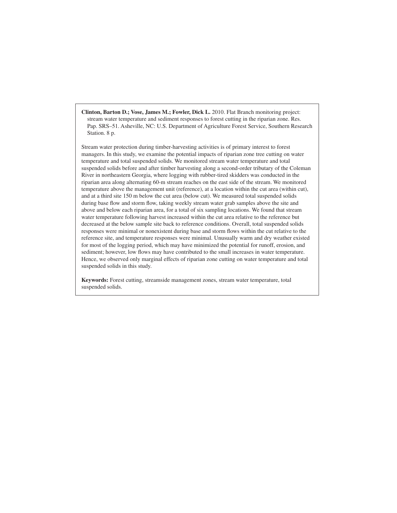**Clinton, Barton D.; Vose, James M.; Fowler, Dick L.** 2010. Flat Branch monitoring project: stream water temperature and sediment responses to forest cutting in the riparian zone. Res. Pap. SRS–51. Asheville, NC: U.S. Department of Agriculture Forest Service, Southern Research Station. 8 p.

Stream water protection during timber-harvesting activities is of primary interest to forest managers. In this study, we examine the potential impacts of riparian zone tree cutting on water temperature and total suspended solids. We monitored stream water temperature and total suspended solids before and after timber harvesting along a second-order tributary of the Coleman River in northeastern Georgia, where logging with rubber-tired skidders was conducted in the riparian area along alternating 60-m stream reaches on the east side of the stream. We monitored temperature above the management unit (reference), at a location within the cut area (within cut), and at a third site 150 m below the cut area (below cut). We measured total suspended solids during base flow and storm flow, taking weekly stream water grab samples above the site and above and below each riparian area, for a total of six sampling locations. We found that stream water temperature following harvest increased within the cut area relative to the reference but decreased at the below sample site back to reference conditions. Overall, total suspended solids responses were minimal or nonexistent during base and storm flows within the cut relative to the reference site, and temperature responses were minimal. Unusually warm and dry weather existed for most of the logging period, which may have minimized the potential for runoff, erosion, and sediment; however, low flows may have contributed to the small increases in water temperature. Hence, we observed only marginal effects of riparian zone cutting on water temperature and total suspended solids in this study.

**Keywords:** Forest cutting, streamside management zones, stream water temperature, total suspended solids.